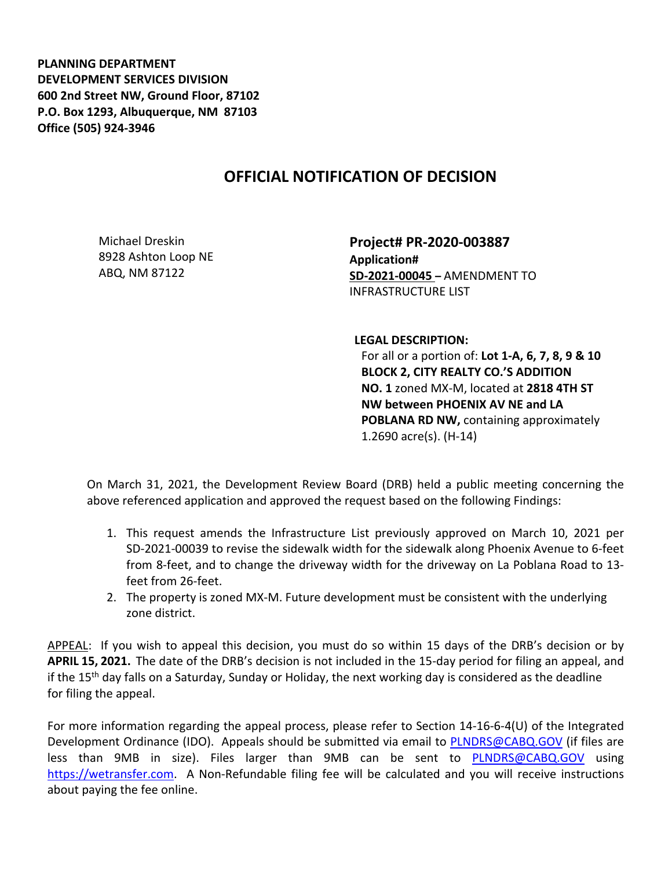**PLANNING DEPARTMENT DEVELOPMENT SERVICES DIVISION 600 2nd Street NW, Ground Floor, 87102 P.O. Box 1293, Albuquerque, NM 87103 Office (505) 924-3946** 

## **OFFICIAL NOTIFICATION OF DECISION**

Michael Dreskin 8928 Ashton Loop NE ABQ, NM 87122

**Project# PR-2020-003887 Application# SD-2021-00045 –** AMENDMENT TO INFRASTRUCTURE LIST

**LEGAL DESCRIPTION:**

For all or a portion of: **Lot 1-A, 6, 7, 8, 9 & 10 BLOCK 2, CITY REALTY CO.'S ADDITION NO. 1** zoned MX-M, located at **2818 4TH ST NW between PHOENIX AV NE and LA POBLANA RD NW,** containing approximately 1.2690 acre(s). (H-14)

On March 31, 2021, the Development Review Board (DRB) held a public meeting concerning the above referenced application and approved the request based on the following Findings:

- 1. This request amends the Infrastructure List previously approved on March 10, 2021 per SD-2021-00039 to revise the sidewalk width for the sidewalk along Phoenix Avenue to 6-feet from 8-feet, and to change the driveway width for the driveway on La Poblana Road to 13 feet from 26-feet.
- 2. The property is zoned MX-M. Future development must be consistent with the underlying zone district.

APPEAL: If you wish to appeal this decision, you must do so within 15 days of the DRB's decision or by **APRIL 15, 2021.** The date of the DRB's decision is not included in the 15-day period for filing an appeal, and if the 15<sup>th</sup> day falls on a Saturday, Sunday or Holiday, the next working day is considered as the deadline for filing the appeal.

For more information regarding the appeal process, please refer to Section 14-16-6-4(U) of the Integrated Development Ordinance (IDO). Appeals should be submitted via email to **PLNDRS@CABQ.GOV** (if files are less than 9MB in size). Files larger than 9MB can be sent to **[PLNDRS@CABQ.GOV](mailto:PLNDRS@CABQ.GOV)** using [https://wetransfer.com.](https://wetransfer.com/) A Non-Refundable filing fee will be calculated and you will receive instructions about paying the fee online.